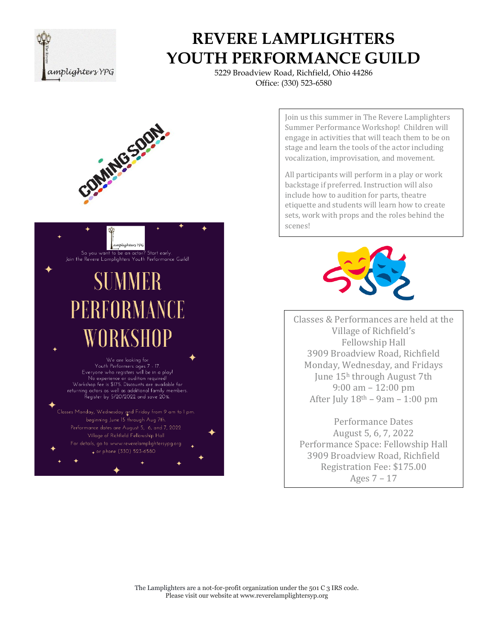

5229 Broadview Road, Richfield, Ohio 44286 Office: (330) 523-6580



Join us this summer in The Revere Lamplighters Summer Performance Workshop! Children will engage in activities that will teach them to be on stage and learn the tools of the actor including vocalization, improvisation, and movement.

All participants will perform in a play or work backstage if preferred. Instruction will also include how to audition for parts, theatre etiquette and students will learn how to create sets, work with props and the roles behind the scenes!



Classes & Performances are held at the Village of Richfield's Fellowship Hall 3909 Broadview Road, Richfield Monday, Wednesday, and Fridays June 15<sup>h</sup> through August 7th 9:00 am – 12:00 pm After July  $18<sup>th</sup> - 9am - 1:00 pm$ 

Performance Dates August 5, 6, 7, 2022 Performance Space: Fellowship Hall 3909 Broadview Road, Richfield Registration Fee: \$175.00 Ages 7 – 17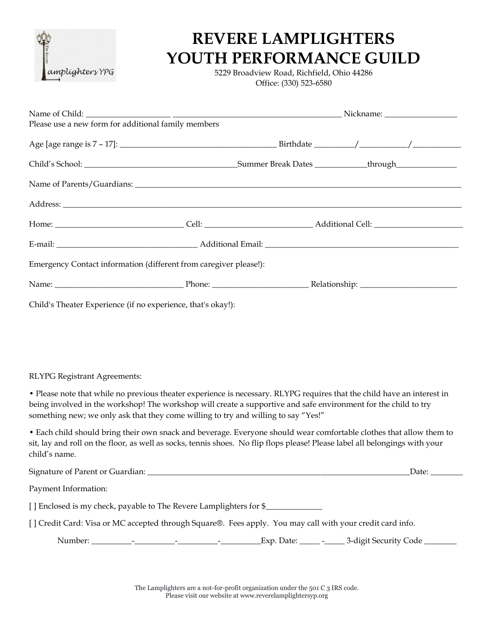

5229 Broadview Road, Richfield, Ohio 44286 Office: (330) 523-6580

| Please use a new form for additional family members               |  |  |  |  |  |  |
|-------------------------------------------------------------------|--|--|--|--|--|--|
|                                                                   |  |  |  |  |  |  |
|                                                                   |  |  |  |  |  |  |
|                                                                   |  |  |  |  |  |  |
|                                                                   |  |  |  |  |  |  |
|                                                                   |  |  |  |  |  |  |
|                                                                   |  |  |  |  |  |  |
| Emergency Contact information (different from caregiver please!): |  |  |  |  |  |  |
|                                                                   |  |  |  |  |  |  |
| Child's Theater Experience (if no experience, that's okay!):      |  |  |  |  |  |  |

RLYPG Registrant Agreements:

• Please note that while no previous theater experience is necessary. RLYPG requires that the child have an interest in being involved in the workshop! The workshop will create a supportive and safe environment for the child to try something new; we only ask that they come willing to try and willing to say "Yes!"

• Each child should bring their own snack and beverage. Everyone should wear comfortable clothes that allow them to sit, lay and roll on the floor, as well as socks, tennis shoes. No flip flops please! Please label all belongings with your child's name.

|                                                                                                           | Date: |  |  |  |  |  |  |  |
|-----------------------------------------------------------------------------------------------------------|-------|--|--|--|--|--|--|--|
| Payment Information:                                                                                      |       |  |  |  |  |  |  |  |
| [ ] Enclosed is my check, payable to The Revere Lamplighters for \$                                       |       |  |  |  |  |  |  |  |
| [] Credit Card: Visa or MC accepted through Square®. Fees apply. You may call with your credit card info. |       |  |  |  |  |  |  |  |
|                                                                                                           |       |  |  |  |  |  |  |  |

The Lamplighters are a not-for-profit organization under the 501 C 3 IRS code. Please visit our website at www.reverelamplightersyp.org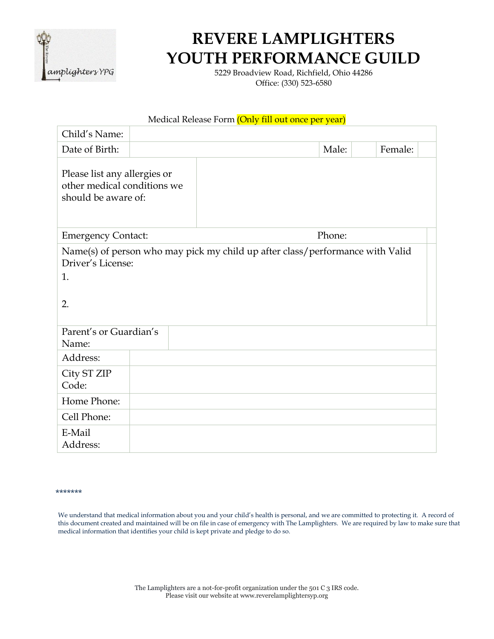

5229 Broadview Road, Richfield, Ohio 44286 Office: (330) 523-6580

| Medical Release Form (Only fill out once per year)                                                             |  |  |  |  |  |  |  |  |       |  |         |  |
|----------------------------------------------------------------------------------------------------------------|--|--|--|--|--|--|--|--|-------|--|---------|--|
| Child's Name:                                                                                                  |  |  |  |  |  |  |  |  |       |  |         |  |
| Date of Birth:                                                                                                 |  |  |  |  |  |  |  |  | Male: |  | Female: |  |
| Please list any allergies or<br>other medical conditions we<br>should be aware of:                             |  |  |  |  |  |  |  |  |       |  |         |  |
| Phone:<br><b>Emergency Contact:</b>                                                                            |  |  |  |  |  |  |  |  |       |  |         |  |
| Name(s) of person who may pick my child up after class/performance with Valid<br>Driver's License:<br>1.<br>2. |  |  |  |  |  |  |  |  |       |  |         |  |
| Parent's or Guardian's<br>Name:                                                                                |  |  |  |  |  |  |  |  |       |  |         |  |
| Address:                                                                                                       |  |  |  |  |  |  |  |  |       |  |         |  |
| City ST ZIP<br>Code:                                                                                           |  |  |  |  |  |  |  |  |       |  |         |  |
| Home Phone:                                                                                                    |  |  |  |  |  |  |  |  |       |  |         |  |
| Cell Phone:                                                                                                    |  |  |  |  |  |  |  |  |       |  |         |  |
| E-Mail<br>Address:                                                                                             |  |  |  |  |  |  |  |  |       |  |         |  |

#### \*\*\*\*\*\*\*

We understand that medical information about you and your child's health is personal, and we are committed to protecting it. A record of this document created and maintained will be on file in case of emergency with The Lamplighters. We are required by law to make sure that medical information that identifies your child is kept private and pledge to do so.